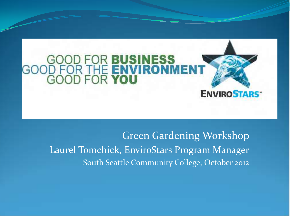

Green Gardening Workshop Laurel Tomchick, EnviroStars Program Manager South Seattle Community College, October 2012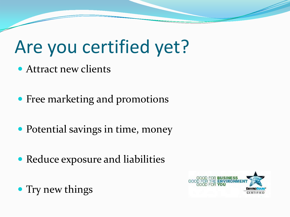# Are you certified yet?

- Attract new clients
- Free marketing and promotions
- Potential savings in time, money
- Reduce exposure and liabilities
- Try new things

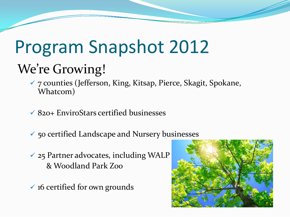# Program Snapshot 2012

#### We're Growing!

- 7 counties (Jefferson, King, Kitsap, Pierce, Skagit, Spokane, Whatcom)
- 820+ EnviroStars certified businesses
- $\checkmark$  50 certified Landscape and Nursery businesses
- $\times$  25 Partner advocates, including WALP & Woodland Park Zoo
- $\times$  16 certified for own grounds

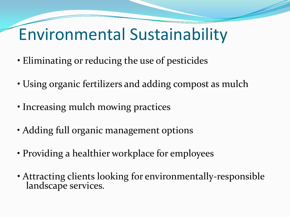### Environmental Sustainability

- Eliminating or reducing the use of pesticides
- Using organic fertilizers and adding compost as mulch
- Increasing mulch mowing practices
- Adding full organic management options
- Providing a healthier workplace for employees
- Attracting clients looking for environmentally-responsible landscape services.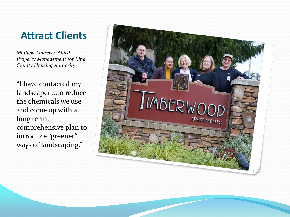#### **Attract Clients**

*Mathew Andrews, Allied Property Management for King County Housing Authority*

"I have contacted my landscaper …to reduce the chemicals we use and come up with a long term, comprehensive plan to introduce "greener" ways of landscaping."

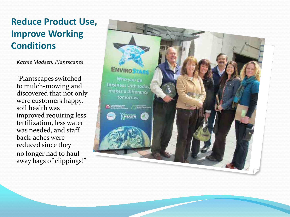#### **Reduce Product Use, Improve Working Conditions**

*Kathie Madsen, Plantscapes*

"Plantscapes switched to mulch-mowing and discovered that not only were customers happy, soil health was improved requiring less fertilization, less water was needed, and staff back-aches were reduced since they no longer had to haul away bags of clippings!"

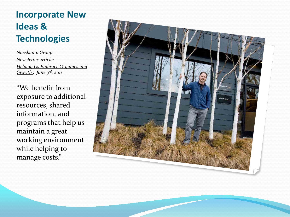#### **Incorporate New Ideas & Technologies**

*Nussbaum Group Newsletter article: Helping Us Embrace Organics and Growth ; June 3rd, 2011*

"We benefit from exposure to additional resources, shared information, and programs that help us maintain a great working environment while helping to manage costs."

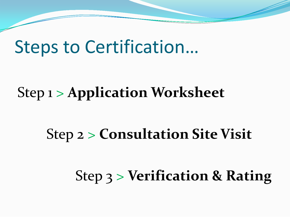#### Steps to Certification…

#### Step 1 > **Application Worksheet**

#### Step 2 > **Consultation Site Visit**

#### Step 3 > **Verification & Rating**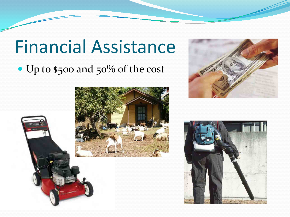## Financial Assistance

#### • Up to \$500 and 50% of the cost





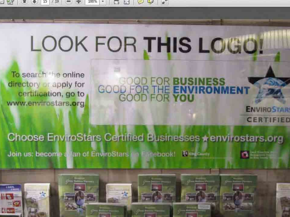#### $R$

# LOOK FOR THIS LOGO!

To search the online directory or apply for certification, go to www.envirostars.org

# GOOD FOR BUSINESS<br>GOOD FOR THE ENVIRONM

Choose EnviroStars Certified Businesses + envirostars.org

Join us: become a lan of EnviroStars for Entebook! [U - e - y



**ENVIROSTARS** 

CERTIFIED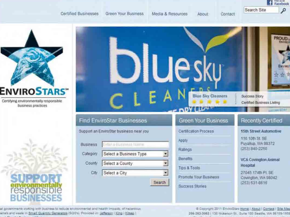Certified Businesses

Su

B

Green Your Business

Media & Resources

About:

Contact

Facebook Search Site ۹





|                                              | nd EnviroStar Businesses                                                                                                                            | <b>Blue Sky Cleaners</b><br><b>Green Your Business</b>                                                                          | Success Story<br>Certified Business Listing<br><b>Carlo Britan</b><br>Recently Certified                                                                                                   |
|----------------------------------------------|-----------------------------------------------------------------------------------------------------------------------------------------------------|---------------------------------------------------------------------------------------------------------------------------------|--------------------------------------------------------------------------------------------------------------------------------------------------------------------------------------------|
| <b>Isiliess</b><br>alegory<br>County<br>City | pport an EnviroStar business near you<br>Enfant Eusnahm Name<br>Select a Business Type<br>치<br>Select a County<br>회<br>Select a City<br>٠<br>Search | Certification Process<br>Apply<br>Ratings<br>Benefits<br>Tips & Tools<br><b>Promote Your Business</b><br><b>Success Stories</b> | 15th Street Automotive<br>116 10th St. SE<br>Puyallup, WA 98372<br>(253) 840-2250<br><b>VCA Covington Animal</b><br>Hospital<br>27045 174th PI SE<br>Covington, WA 98042<br>(253) 631-8616 |

al governments esting with business to reduce environmental and health impacts, of hazartous leitals and weste in Small Quantity Generators (500%). Froutded in Jefferson | King | Kitsan |

6 Copyright 2011 EnviroStars Home | About | Contact | Site Mag 206-283-3063 | 130 Midlerson St., Saile 100 Seattle, WA 98109-1658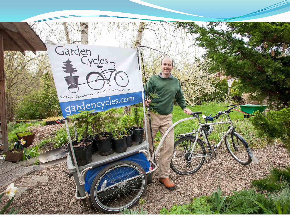